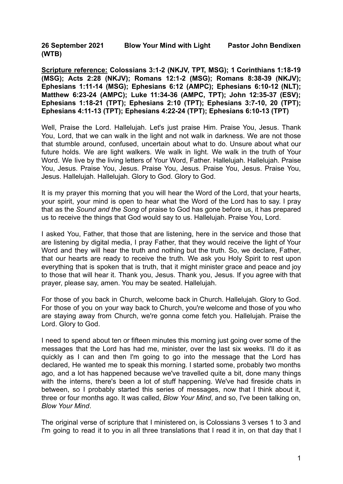**26 September 2021 Blow Your Mind with Light Pastor John Bendixen (WTB)**

**Scripture reference: Colossians 3:1-2 (NKJV, TPT, MSG); 1 Corinthians 1:18-19 (MSG); Acts 2:28 (NKJV); Romans 12:1-2 (MSG); Romans 8:38-39 (NKJV); Ephesians 1:11-14 (MSG); Ephesians 6:12 (AMPC); Ephesians 6:10-12 (NLT); Matthew 6:23-24 (AMPC); Luke 11:34-36 (AMPC, TPT); John 12:35-37 (ESV); Ephesians 1:18-21 (TPT); Ephesians 2:10 (TPT); Ephesians 3:7-10, 20 (TPT); Ephesians 4:11-13 (TPT); Ephesians 4:22-24 (TPT); Ephesians 6:10-13 (TPT)**

Well, Praise the Lord. Hallelujah. Let's just praise Him. Praise You, Jesus. Thank You, Lord, that we can walk in the light and not walk in darkness. We are not those that stumble around, confused, uncertain about what to do. Unsure about what our future holds. We are light walkers. We walk in light. We walk in the truth of Your Word. We live by the living letters of Your Word, Father. Hallelujah. Hallelujah. Praise You, Jesus. Praise You, Jesus. Praise You, Jesus. Praise You, Jesus. Praise You, Jesus. Hallelujah. Hallelujah. Glory to God. Glory to God.

It is my prayer this morning that you will hear the Word of the Lord, that your hearts, your spirit, your mind is open to hear what the Word of the Lord has to say. I pray that as the *Sound and the Song* of praise to God has gone before us, it has prepared us to receive the things that God would say to us. Hallelujah. Praise You, Lord.

I asked You, Father, that those that are listening, here in the service and those that are listening by digital media, I pray Father, that they would receive the light of Your Word and they will hear the truth and nothing but the truth. So, we declare, Father, that our hearts are ready to receive the truth. We ask you Holy Spirit to rest upon everything that is spoken that is truth, that it might minister grace and peace and joy to those that will hear it. Thank you, Jesus. Thank you, Jesus. If you agree with that prayer, please say, amen. You may be seated. Hallelujah.

For those of you back in Church, welcome back in Church. Hallelujah. Glory to God. For those of you on your way back to Church, you're welcome and those of you who are staying away from Church, we're gonna come fetch you. Hallelujah. Praise the Lord. Glory to God.

I need to spend about ten or fifteen minutes this morning just going over some of the messages that the Lord has had me, minister, over the last six weeks. I'll do it as quickly as I can and then I'm going to go into the message that the Lord has declared, He wanted me to speak this morning. I started some, probably two months ago, and a lot has happened because we've travelled quite a bit, done many things with the interns, there's been a lot of stuff happening. We've had fireside chats in between, so I probably started this series of messages, now that I think about it, three or four months ago. It was called, *Blow Your Mind*, and so, I've been talking on, *Blow Your Mind*.

The original verse of scripture that I ministered on, is Colossians 3 verses 1 to 3 and I'm going to read it to you in all three translations that I read it in, on that day that I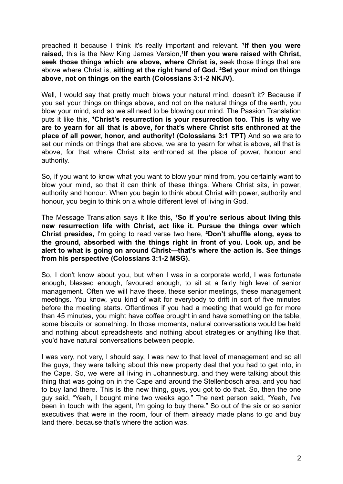preached it because I think it's really important and relevant. **¹If then you were raised,** this is the New King James Version,**¹If then you were raised with Christ, seek those things which are above, where Christ is,** seek those things that are above where Christ is, **sitting at the right hand of God. ²Set your mind on things above, not on things on the earth (Colossians 3:1-2 NKJV).**

Well, I would say that pretty much blows your natural mind, doesn't it? Because if you set your things on things above, and not on the natural things of the earth, you blow your mind, and so we all need to be blowing our mind. The Passion Translation puts it like this, **¹Christ's resurrection is your resurrection too. This is why we are to yearn for all that is above, for that's where Christ sits enthroned at the place of all power, honor, and authority! (Colossians 3:1 TPT)** And so we are to set our minds on things that are above, we are to yearn for what is above, all that is above, for that where Christ sits enthroned at the place of power, honour and authority.

So, if you want to know what you want to blow your mind from, you certainly want to blow your mind, so that it can think of these things. Where Christ sits, in power, authority and honour. When you begin to think about Christ with power, authority and honour, you begin to think on a whole different level of living in God.

The Message Translation says it like this, **¹So if you're serious about living this new resurrection life with Christ, act like it. Pursue the things over which Christ presides,** I'm going to read verse two here, **²Don't shuffle along, eyes to the ground, absorbed with the things right in front of you. Look up, and be alert to what is going on around Christ—that's where the action is. See things from his perspective (Colossians 3:1-2 MSG).**

So, I don't know about you, but when I was in a corporate world, I was fortunate enough, blessed enough, favoured enough, to sit at a fairly high level of senior management. Often we will have these, these senior meetings, these management meetings. You know, you kind of wait for everybody to drift in sort of five minutes before the meeting starts. Oftentimes if you had a meeting that would go for more than 45 minutes, you might have coffee brought in and have something on the table, some biscuits or something. In those moments, natural conversations would be held and nothing about spreadsheets and nothing about strategies or anything like that, you'd have natural conversations between people.

I was very, not very, I should say, I was new to that level of management and so all the guys, they were talking about this new property deal that you had to get into, in the Cape. So, we were all living in Johannesburg, and they were talking about this thing that was going on in the Cape and around the Stellenbosch area, and you had to buy land there. This is the new thing, guys, you got to do that. So, then the one guy said, "Yeah, I bought mine two weeks ago." The next person said, "Yeah, I've been in touch with the agent, I'm going to buy there." So out of the six or so senior executives that were in the room, four of them already made plans to go and buy land there, because that's where the action was.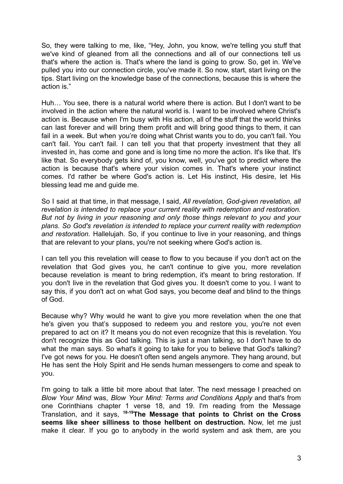So, they were talking to me, like, "Hey, John, you know, we're telling you stuff that we've kind of gleaned from all the connections and all of our connections tell us that's where the action is. That's where the land is going to grow. So, get in. We've pulled you into our connection circle, you've made it. So now, start, start living on the tips. Start living on the knowledge base of the connections, because this is where the action is."

Huh… You see, there is a natural world where there is action. But I don't want to be involved in the action where the natural world is. I want to be involved where Christ's action is. Because when I'm busy with His action, all of the stuff that the world thinks can last forever and will bring them profit and will bring good things to them, it can fail in a week. But when you're doing what Christ wants you to do, you can't fail. You can't fail. You can't fail. I can tell you that that property investment that they all invested in, has come and gone and is long time no more the action. It's like that. It's like that. So everybody gets kind of, you know, well, you've got to predict where the action is because that's where your vision comes in. That's where your instinct comes. I'd rather be where God's action is. Let His instinct, His desire, let His blessing lead me and guide me.

So I said at that time, in that message, I said, *All revelation, God-given revelation, all revelation is intended to replace your current reality with redemption and restoration. But not by living in your reasoning and only those things relevant to you and your plans. So God's revelation is intended to replace your current reality with redemption and restoration.* Hallelujah. So, if you continue to live in your reasoning, and things that are relevant to your plans, you're not seeking where God's action is.

I can tell you this revelation will cease to flow to you because if you don't act on the revelation that God gives you, he can't continue to give you, more revelation because revelation is meant to bring redemption, it's meant to bring restoration. If you don't live in the revelation that God gives you. It doesn't come to you. I want to say this, if you don't act on what God says, you become deaf and blind to the things of God.

Because why? Why would he want to give you more revelation when the one that he's given you that's supposed to redeem you and restore you, you're not even prepared to act on it? It means you do not even recognize that this is revelation. You don't recognize this as God talking. This is just a man talking, so I don't have to do what the man says. So what's it going to take for you to believe that God's talking? I've got news for you. He doesn't often send angels anymore. They hang around, but He has sent the Holy Spirit and He sends human messengers to come and speak to you.

I'm going to talk a little bit more about that later. The next message I preached on *Blow Your Mind* was, *Blow Your Mind: Terms and Conditions Apply* and that's from one Corinthians chapter 1 verse 18, and 19. I'm reading from the Message Translation, and it says, **18-19The Message that points to Christ on the Cross seems like sheer silliness to those hellbent on destruction.** Now, let me just make it clear. If you go to anybody in the world system and ask them, are you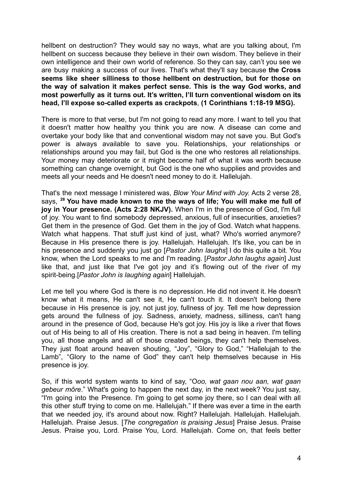hellbent on destruction? They would say no ways, what are you talking about, I'm hellbent on success because they believe in their own wisdom. They believe in their own intelligence and their own world of reference. So they can say, can't you see we are busy making a success of our lives. That's what they'll say because **the Cross seems like sheer silliness to those hellbent on destruction, but for those on the way of salvation it makes perfect sense. This is the way God works, and most powerfully as it turns out. It's written, I'll turn conventional wisdom on its head, I'll expose so-called experts as crackpots**, **(1 Corinthians 1:18-19 MSG).**

There is more to that verse, but I'm not going to read any more. I want to tell you that it doesn't matter how healthy you think you are now. A disease can come and overtake your body like that and conventional wisdom may not save you. But God's power is always available to save you. Relationships, your relationships or relationships around you may fail, but God is the one who restores all relationships. Your money may deteriorate or it might become half of what it was worth because something can change overnight, but God is the one who supplies and provides and meets all your needs and He doesn't need money to do it. Hallelujah.

That's the next message I ministered was, *Blow Your Mind with Joy.* Acts 2 verse 28, says, **<sup>28</sup> You have made known to me the ways of life; You will make me full of joy in Your presence. (Acts 2:28 NKJV).** When I'm in the presence of God, I'm full of joy. You want to find somebody depressed, anxious, full of insecurities, anxieties? Get them in the presence of God. Get them in the joy of God. Watch what happens. Watch what happens. That stuff just kind of just, what? Who's worried anymore? Because in His presence there is joy. Hallelujah. Hallelujah. It's like, you can be in his presence and suddenly you just go [*Pastor John laughs*] I do this quite a bit. You know, when the Lord speaks to me and I'm reading. [*Pastor John laughs again*] Just like that, and just like that I've got joy and it's flowing out of the river of my spirit-being.[*Pastor John is laughing again*] Hallelujah.

Let me tell you where God is there is no depression. He did not invent it. He doesn't know what it means, He can't see it, He can't touch it. It doesn't belong there because in His presence is joy, not just joy, fullness of joy. Tell me how depression gets around the fullness of joy. Sadness, anxiety, madness, silliness, can't hang around in the presence of God, because He's got joy. His joy is like a river that flows out of His being to all of His creation. There is not a sad being in heaven. I'm telling you, all those angels and all of those created beings, they can't help themselves. They just float around heaven shouting, "Joy", "Glory to God," "Hallelujah to the Lamb", "Glory to the name of God" they can't help themselves because in His presence is joy.

So, if this world system wants to kind of say, "O*oo, wat gaan nou aan, wat gaan gebeur môre*." What's going to happen the next day, in the next week? You just say, "I'm going into the Presence. I'm going to get some joy there, so I can deal with all this other stuff trying to come on me. Hallelujah." If there was ever a time in the earth that we needed joy, it's around about now. Right? Hallelujah. Hallelujah. Hallelujah. Hallelujah. Praise Jesus. [*The congregation is praising Jesus*] Praise Jesus. Praise Jesus. Praise you, Lord. Praise You, Lord. Hallelujah. Come on, that feels better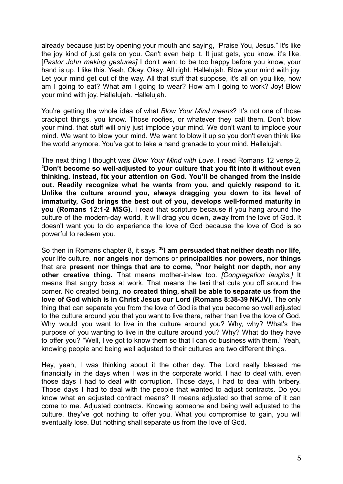already because just by opening your mouth and saying, "Praise You, Jesus." It's like the joy kind of just gets on you. Can't even help it. It just gets, you know, it's like. [*Pastor John making gestures]* I don't want to be too happy before you know, your hand is up. I like this. Yeah, Okay. Okay. All right. Hallelujah. Blow your mind with joy. Let your mind get out of the way. All that stuff that suppose, it's all on you like, how am I going to eat? What am I going to wear? How am I going to work? Joy! Blow your mind with joy. Hallelujah. Hallelujah.

You're getting the whole idea of what *Blow Your Mind means*? It's not one of those crackpot things, you know. Those roofies, or whatever they call them. Don't blow your mind, that stuff will only just implode your mind. We don't want to implode your mind. We want to blow your mind. We want to blow it up so you don't even think like the world anymore. You've got to take a hand grenade to your mind. Hallelujah.

The next thing I thought was *Blow Your Mind with Love.* I read Romans 12 verse 2, **<sup>2</sup>Don't become so well-adjusted to your culture that you fit into it without even thinking. Instead, fix your attention on God. You'll be changed from the inside out. Readily recognize what he wants from you, and quickly respond to it. Unlike the culture around you, always dragging you down to its level of immaturity, God brings the best out of you, develops well-formed maturity in you (Romans 12:1-2 MSG).** I read that scripture because if you hang around the culture of the modern-day world, it will drag you down, away from the love of God. It doesn't want you to do experience the love of God because the love of God is so powerful to redeem you.

So then in Romans chapter 8, it says, **<sup>38</sup> I am persuaded that neither death nor life,** your life culture, **nor angels nor** demons or **principalities nor powers, nor things** that are **present nor things that are to come, <sup>39</sup>nor height nor depth, nor any other creative thing.** That means mother-in-law too. *[Congregation laughs.]* It means that angry boss at work. That means the taxi that cuts you off around the corner. No created being, **no created thing, shall be able to separate us from the love of God which is in Christ Jesus our Lord (Romans 8:38-39 NKJV).** The only thing that can separate you from the love of God is that you become so well adjusted to the culture around you that you want to live there, rather than live the love of God. Why would you want to live in the culture around you? Why, why? What's the purpose of you wanting to live in the culture around you? Why? What do they have to offer you? "Well, I've got to know them so that I can do business with them." Yeah, knowing people and being well adjusted to their cultures are two different things.

Hey, yeah, I was thinking about it the other day. The Lord really blessed me financially in the days when I was in the corporate world. I had to deal with, even those days I had to deal with corruption. Those days, I had to deal with bribery. Those days I had to deal with the people that wanted to adjust contracts. Do you know what an adjusted contract means? It means adjusted so that some of it can come to me. Adjusted contracts. Knowing someone and being well adjusted to the culture, they've got nothing to offer you. What you compromise to gain, you will eventually lose. But nothing shall separate us from the love of God.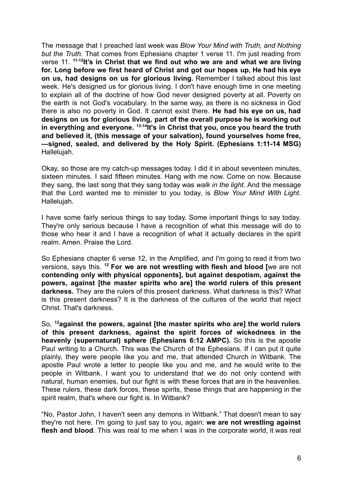The message that I preached last week was *Blow Your Mind with Truth, and Nothing but the Truth.* That comes from Ephesians chapter 1 verse 11. I'm just reading from verse 11. **11-12 It's in Christ that we find out who we are and what we are living for. Long before we first heard of Christ and got our hopes up, He had his eye on us, had designs on us for glorious living.** Remember I talked about this last week. He's designed us for glorious living. I don't have enough time in one meeting to explain all of the doctrine of how God never designed poverty at all. Poverty on the earth is not God's vocabulary. In the same way, as there is no sickness in God there is also no poverty in God. It cannot exist there. **He had his eye on us, had designs on us for glorious living, part of the overall purpose he is working out in everything and everyone. 13-14 It's in Christ that you, once you heard the truth and believed it, (this message of your salvation), found yourselves home free, —signed, sealed, and delivered by the Holy Spirit. (Ephesians 1:11-14 MSG)** Hallelujah.

Okay, so those are my catch-up messages today. I did it in about seventeen minutes, sixteen minutes. I said fifteen minutes. Hang with me now. Come on now. Because they sang, the last song that they sang today was *walk in the light.* And the message that the Lord wanted me to minister to you today, is *Blow Your Mind With Light*. Hallelujah.

I have some fairly serious things to say today. Some important things to say today. They're only serious because I have a recognition of what this message will do to those who hear it and I have a recognition of what it actually declares in the spirit realm. Amen. Praise the Lord.

So Ephesians chapter 6 verse 12, in the Amplified, and I'm going to read it from two versions, says this. **<sup>12</sup> For we are not wrestling with flesh and blood [**we are not **contending only with physical opponents], but against despotism, against the powers, against [the master spirits who are] the world rulers of this present darkness.** They are the rulers of this present darkness. What darkness is this? What is this present darkness? It is the darkness of the cultures of the world that reject Christ. That's darkness.

So, **<sup>12</sup>against the powers, against [the master spirits who are] the world rulers of this present darkness, against the spirit forces of wickedness in the heavenly (supernatural) sphere (Ephesians 6:12 AMPC).** So this is the apostle Paul writing to a Church. This was the Church of the Ephesians. If I can put it quite plainly, they were people like you and me, that attended Church in Witbank. The apostle Paul wrote a letter to people like you and me, and he would write to the people in Witbank. I want you to understand that we do not only contend with natural, human enemies, but our fight is with these forces that are in the heavenlies. These rulers, these dark forces, these spirits, these things that are happening in the spirit realm, that's where our fight is. In Witbank?

"No, Pastor John, I haven't seen any demons in Witbank." That doesn't mean to say they're not here. I'm going to just say to you, again; **we are not wrestling against flesh and blood**. This was real to me when I was in the corporate world, it was real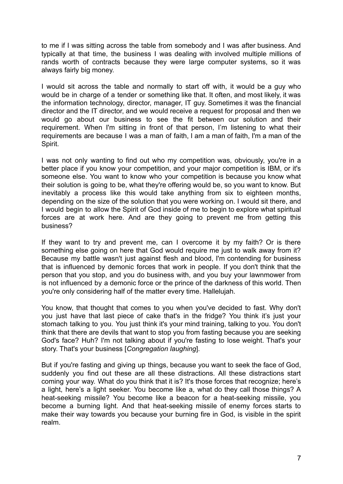to me if I was sitting across the table from somebody and I was after business. And typically at that time, the business I was dealing with involved multiple millions of rands worth of contracts because they were large computer systems, so it was always fairly big money.

I would sit across the table and normally to start off with, it would be a guy who would be in charge of a tender or something like that. It often, and most likely, it was the information technology, director, manager, IT guy. Sometimes it was the financial director and the IT director, and we would receive a request for proposal and then we would go about our business to see the fit between our solution and their requirement. When I'm sitting in front of that person, I'm listening to what their requirements are because I was a man of faith, I am a man of faith, I'm a man of the Spirit.

I was not only wanting to find out who my competition was, obviously, you're in a better place if you know your competition, and your major competition is IBM, or it's someone else. You want to know who your competition is because you know what their solution is going to be, what they're offering would be, so you want to know. But inevitably a process like this would take anything from six to eighteen months, depending on the size of the solution that you were working on. I would sit there, and I would begin to allow the Spirit of God inside of me to begin to explore what spiritual forces are at work here. And are they going to prevent me from getting this business?

If they want to try and prevent me, can I overcome it by my faith? Or is there something else going on here that God would require me just to walk away from it? Because my battle wasn't just against flesh and blood, I'm contending for business that is influenced by demonic forces that work in people. If you don't think that the person that you stop, and you do business with, and you buy your lawnmower from is not influenced by a demonic force or the prince of the darkness of this world. Then you're only considering half of the matter every time. Hallelujah.

You know, that thought that comes to you when you've decided to fast. Why don't you just have that last piece of cake that's in the fridge? You think it's just your stomach talking to you. You just think it's your mind training, talking to you. You don't think that there are devils that want to stop you from fasting because you are seeking God's face? Huh? I'm not talking about if you're fasting to lose weight. That's your story. That's your business [*Congregation laughing*].

But if you're fasting and giving up things, because you want to seek the face of God, suddenly you find out these are all these distractions. All these distractions start coming your way. What do you think that it is? It's those forces that recognize; here's a light, here's a light seeker. You become like a, what do they call those things? A heat-seeking missile? You become like a beacon for a heat-seeking missile, you become a burning light. And that heat-seeking missile of enemy forces starts to make their way towards you because your burning fire in God, is visible in the spirit realm.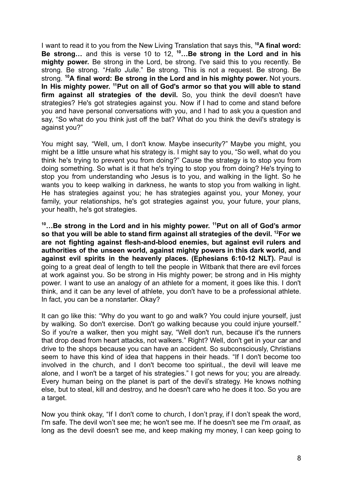I want to read it to you from the New Living Translation that says this, **<sup>10</sup>A final word: Be strong…** and this is verse 10 to 12, **<sup>10</sup>…Be strong in the Lord and in his mighty power.** Be strong in the Lord, be strong. I've said this to you recently. Be strong. Be strong. "*Hallo Julle*." Be strong. This is not a request. Be strong. Be strong. **<sup>10</sup>A final word: Be strong in the Lord and in his mighty power.** Not yours. **In His mighty power. <sup>11</sup>Put on all of God's armor so that you will able to stand firm against all strategies of the devil.** So, you think the devil doesn't have strategies? He's got strategies against you. Now if I had to come and stand before you and have personal conversations with you, and I had to ask you a question and say, "So what do you think just off the bat? What do you think the devil's strategy is against you?"

You might say, "Well, um, I don't know. Maybe insecurity?" Maybe you might, you might be a little unsure what his strategy is. I might say to you, "So well, what do you think he's trying to prevent you from doing?" Cause the strategy is to stop you from doing something. So what is it that he's trying to stop you from doing? He's trying to stop you from understanding who Jesus is to you, and walking in the light. So he wants you to keep walking in darkness, he wants to stop you from walking in light. He has strategies against you; he has strategies against you, your Money, your family, your relationships, he's got strategies against you, your future, your plans, your health, he's got strategies.

**<sup>10</sup>…Be strong in the Lord and in his mighty power. <sup>11</sup>Put on all of God's armor so that you will be able to stand firm against all strategies of the devil. <sup>12</sup>For we are not fighting against flesh-and-blood enemies, but against evil rulers and authorities of the unseen world, against mighty powers in this dark world, and against evil spirits in the heavenly places. (Ephesians 6:10-12 NLT).** Paul is going to a great deal of length to tell the people in Witbank that there are evil forces at work against you. So be strong in His mighty power; be strong and in His mighty power. I want to use an analogy of an athlete for a moment, it goes like this. I don't think, and it can be any level of athlete, you don't have to be a professional athlete. In fact, you can be a nonstarter. Okay?

It can go like this: "Why do you want to go and walk? You could injure yourself, just by walking. So don't exercise. Don't go walking because you could injure yourself." So if you're a walker, then you might say, "Well don't run, because it's the runners that drop dead from heart attacks, not walkers." Right? Well, don't get in your car and drive to the shops because you can have an accident. So subconsciously, Christians seem to have this kind of idea that happens in their heads. "If I don't become too involved in the church, and I don't become too spiritual., the devil will leave me alone, and I won't be a target of his strategies." I got news for you; you are already. Every human being on the planet is part of the devil's strategy. He knows nothing else, but to steal, kill and destroy, and he doesn't care who he does it too. So you are a target.

Now you think okay, "If I don't come to church, I don't pray, if I don't speak the word, I'm safe. The devil won't see me; he won't see me. If he doesn't see me I'm *oraait*, as long as the devil doesn't see me, and keep making my money, I can keep going to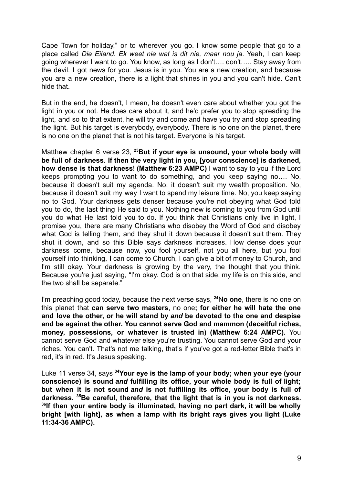Cape Town for holiday," or to wherever you go. I know some people that go to a place called *Die Eiland. Ek weet nie wat is dit nie, maar nou ja*. Yeah, I can keep going wherever I want to go. You know, as long as I don't…. don't….. Stay away from the devil. I got news for you. Jesus is in you. You are a new creation, and because you are a new creation, there is a light that shines in you and you can't hide. Can't hide that.

But in the end, he doesn't, I mean, he doesn't even care about whether you got the light in you or not. He does care about it, and he'd prefer you to stop spreading the light, and so to that extent, he will try and come and have you try and stop spreading the light. But his target is everybody, everybody. There is no one on the planet, there is no one on the planet that is not his target. Everyone is his target.

Matthew chapter 6 verse 23, **<sup>23</sup>But if your eye is unsound, your whole body will be full of darkness. If then the very light in you, [your conscience] is darkened, how dense is that darkness**! **(Matthew 6:23 AMPC)** I want to say to you if the Lord keeps prompting you to want to do something, and you keep saying no…. No, because it doesn't suit my agenda. No, it doesn't suit my wealth proposition. No, because it doesn't suit my way I want to spend my leisure time. No, you keep saying no to God. Your darkness gets denser because you're not obeying what God told you to do, the last thing He said to you. Nothing new is coming to you from God until you do what He last told you to do. If you think that Christians only live in light, I promise you, there are many Christians who disobey the Word of God and disobey what God is telling them, and they shut it down because it doesn't suit them. They shut it down, and so this Bible says darkness increases. How dense does your darkness come, because now, you fool yourself, not you all here, but you fool yourself into thinking, I can come to Church, I can give a bit of money to Church, and I'm still okay. Your darkness is growing by the very, the thought that you think. Because you're just saying, "I'm okay. God is on that side, my life is on this side, and the two shall be separate."

I'm preaching good today, because the next verse says, **<sup>24</sup>**N**o one**, there is no one on this planet that **can serve two masters**, no one**; for either he will hate the one and love the other, or he will stand by** *and* **be devoted to the one and despise and be against the other. You cannot serve God and mammon (deceitful riches, money, possessions, or whatever is trusted in) (Matthew 6:24 AMPC).** You cannot serve God and whatever else you're trusting. You cannot serve God and your riches. You can't. That's not me talking, that's if you've got a red-letter Bible that's in red, it's in red. It's Jesus speaking.

Luke 11 verse 34, says **<sup>34</sup>Your eye is the lamp of your body; when your eye (your conscience) is sound** *and* **fulfilling its office, your whole body is full of light; but when it is not sound** *and* **is not fulfilling its office, your body is full of darkness. <sup>35</sup>Be careful, therefore, that the light that is in you is not darkness. 36 If then your entire body is illuminated, having no part dark, it will be wholly bright [with light], as when a lamp with its bright rays gives you light (Luke 11:34-36 AMPC).**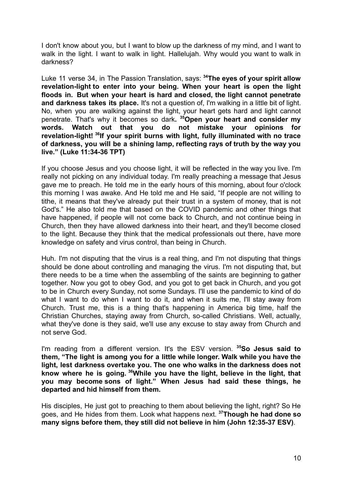I don't know about you, but I want to blow up the darkness of my mind, and I want to walk in the light. I want to walk in light. Hallelujah. Why would you want to walk in darkness?

Luke 11 verse 34, in The Passion Translation, says: **<sup>34</sup>The eyes of your spirit allow revelation-light to enter into your being. When your heart is open the light floods in. But when your heart is hard and closed, the light cannot penetrate and darkness takes its place.** It's not a question of, I'm walking in a little bit of light. No, when you are walking against the light, your heart gets hard and light cannot penetrate. That's why it becomes so dark**. <sup>35</sup>Open your heart and consider my words. Watch out that you do not mistake your opinions for revelation-light! <sup>36</sup> If your spirit burns with light, fully illuminated with no trace of darkness, you will be a shining lamp, reflecting rays of truth by the way you live." (Luke 11:34-36 TPT)**

If you choose Jesus and you choose light, it will be reflected in the way you live. I'm really not picking on any individual today. I'm really preaching a message that Jesus gave me to preach. He told me in the early hours of this morning, about four o'clock this morning I was awake. And He told me and He said, "If people are not willing to tithe, it means that they've already put their trust in a system of money, that is not God's." He also told me that based on the COVID pandemic and other things that have happened, if people will not come back to Church, and not continue being in Church, then they have allowed darkness into their heart, and they'll become closed to the light. Because they think that the medical professionals out there, have more knowledge on safety and virus control, than being in Church.

Huh. I'm not disputing that the virus is a real thing, and I'm not disputing that things should be done about controlling and managing the virus. I'm not disputing that, but there needs to be a time when the assembling of the saints are beginning to gather together. Now you got to obey God, and you got to get back in Church, and you got to be in Church every Sunday, not some Sundays. I'll use the pandemic to kind of do what I want to do when I want to do it, and when it suits me, I'll stay away from Church. Trust me, this is a thing that's happening in America big time, half the Christian Churches, staying away from Church, so-called Christians. Well, actually, what they've done is they said, we'll use any excuse to stay away from Church and not serve God.

I'm reading from a different version. It's the ESV version. **<sup>35</sup>So Jesus said to them, "The light is among you for a little while longer. Walk while you have the light, lest darkness overtake you. The one who walks in the darkness does not know where he is going. <sup>36</sup>While you have the light, believe in the light, that you may become sons of light." When Jesus had said these things, he departed and hid himself from them.**

His disciples, He just got to preaching to them about believing the light, right? So He goes, and He hides from them. Look what happens next. **<sup>37</sup>Though he had done so many signs before them, they still did not believe in him (John 12:35-37 ESV)**.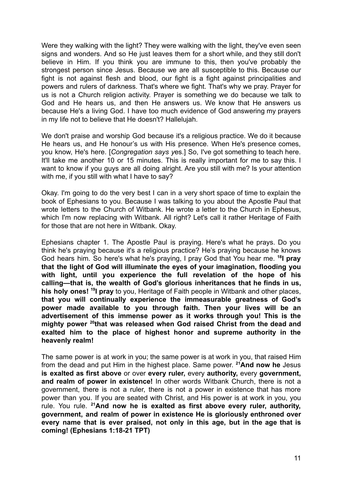Were they walking with the light? They were walking with the light, they've even seen signs and wonders. And so He just leaves them for a short while, and they still don't believe in Him. If you think you are immune to this, then you've probably the strongest person since Jesus. Because we are all susceptible to this. Because our fight is not against flesh and blood, our fight is a fight against principalities and powers and rulers of darkness. That's where we fight. That's why we pray. Prayer for us is not a Church religion activity. Prayer is something we do because we talk to God and He hears us, and then He answers us. We know that He answers us because He's a living God. I have too much evidence of God answering my prayers in my life not to believe that He doesn't? Hallelujah.

We don't praise and worship God because it's a religious practice. We do it because He hears us, and He honour's us with His presence. When He's presence comes, you know, He's here. [*Congregation says y*es.] So, I've got something to teach here. It'll take me another 10 or 15 minutes. This is really important for me to say this. I want to know if you guys are all doing alright. Are you still with me? Is your attention with me, if you still with what I have to say?

Okay. I'm going to do the very best I can in a very short space of time to explain the book of Ephesians to you. Because I was talking to you about the Apostle Paul that wrote letters to the Church of Witbank. He wrote a letter to the Church in Ephesus, which I'm now replacing with Witbank. All right? Let's call it rather Heritage of Faith for those that are not here in Witbank. Okay.

Ephesians chapter 1. The Apostle Paul is praying. Here's what he prays. Do you think he's praying because it's a religious practice? He's praying because he knows God hears him. So here's what he's praying, I pray God that You hear me. **<sup>18</sup> I pray that the light of God will illuminate the eyes of your imagination, flooding you with light, until you experience the full revelation of the hope of his calling—that is, the wealth of God's glorious inheritances that he finds in us, his holy ones! <sup>19</sup> I pray** to you, Heritage of Faith people in Witbank and other places, **that you will continually experience the immeasurable greatness of God's power made available to you through faith. Then your lives will be an advertisement of this immense power as it works through you! This is the mighty power <sup>20</sup> that was released when God raised Christ from the dead and exalted him to the place of highest honor and supreme authority in the heavenly realm!**

The same power is at work in you; the same power is at work in you, that raised Him from the dead and put Him in the highest place. Same power. **<sup>21</sup>And now he** Jesus **is exalted as first above** or over **every ruler,** every **authority,** every **government, and realm of power in existence!** In other words Witbank Church, there is not a government, there is not a ruler, there is not a power in existence that has more power than you. If you are seated with Christ, and His power is at work in you, you rule. You rule. **<sup>21</sup>And now he is exalted as first above every ruler, authority, government, and realm of power in existence He is gloriously enthroned over every name that is ever praised, not only in this age, but in the age that is coming! (Ephesians 1:18-21 TPT)**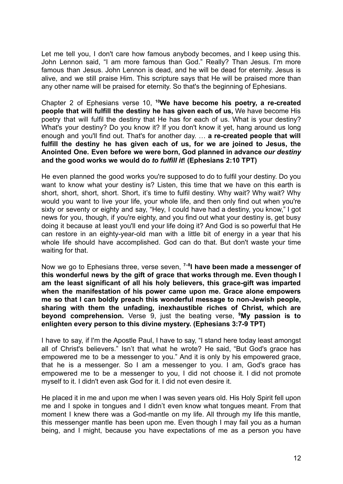Let me tell you, I don't care how famous anybody becomes, and I keep using this. John Lennon said, "I am more famous than God." Really? Than Jesus. I'm more famous than Jesus. John Lennon is dead, and he will be dead for eternity. Jesus is alive, and we still praise Him. This scripture says that He will be praised more than any other name will be praised for eternity. So that's the beginning of Ephesians.

Chapter 2 of Ephesians verse 10, **<sup>10</sup>We have become his poetry, a re-created people that will fulfill the destiny he has given each of us,** We have become His poetry that will fulfil the destiny that He has for each of us. What is your destiny? What's your destiny? Do you know it? If you don't know it yet, hang around us long enough and you'll find out. That's for another day. … **a re-created people that will fulfill the destiny he has given each of us, for we are joined to Jesus, the Anointed One. Even before we were born, God planned in advance** *our destiny* **and the good works we would do** *to fulfill it***! (Ephesians 2:10 TPT)**

He even planned the good works you're supposed to do to fulfil your destiny. Do you want to know what your destiny is? Listen, this time that we have on this earth is short, short, short, short. Short, it's time to fulfil destiny. Why wait? Why wait? Why would you want to live your life, your whole life, and then only find out when you're sixty or seventy or eighty and say, "Hey, I could have had a destiny, you know," I got news for you, though, if you're eighty, and you find out what your destiny is, get busy doing it because at least you'll end your life doing it? And God is so powerful that He can restore in an eighty-year-old man with a little bit of energy in a year that his whole life should have accomplished. God can do that. But don't waste your time waiting for that.

Now we go to Ephesians three, verse seven, **7–8 I have been made a messenger of this wonderful news by the gift of grace that works through me. Even though I am the least significant of all his holy believers, this grace-gift was imparted when the manifestation of his power came upon me. Grace alone empowers me so that I can boldly preach this wonderful message to non-Jewish people, sharing with them the unfading, inexhaustible riches of Christ, which are beyond comprehension.** Verse 9, just the beating verse, **<sup>9</sup>My passion is to enlighten every person to this divine mystery. (Ephesians 3:7-9 TPT)**

I have to say, if I'm the Apostle Paul, I have to say, "I stand here today least amongst all of Christ's believers." Isn't that what he wrote? He said, "But God's grace has empowered me to be a messenger to you." And it is only by his empowered grace, that he is a messenger. So I am a messenger to you. I am, God's grace has empowered me to be a messenger to you, I did not choose it. I did not promote myself to it. I didn't even ask God for it. I did not even desire it.

He placed it in me and upon me when I was seven years old. His Holy Spirit fell upon me and I spoke in tongues and I didn't even know what tongues meant. From that moment I knew there was a God-mantle on my life. All through my life this mantle, this messenger mantle has been upon me. Even though I may fail you as a human being, and I might, because you have expectations of me as a person you have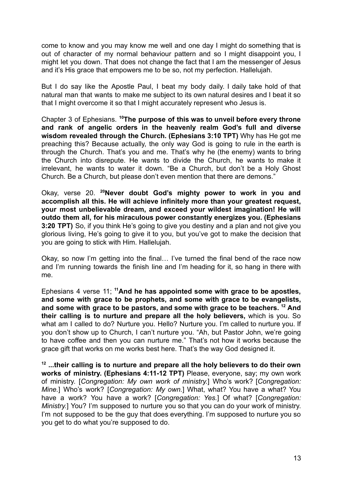come to know and you may know me well and one day I might do something that is out of character of my normal behaviour pattern and so I might disappoint you, I might let you down. That does not change the fact that I am the messenger of Jesus and it's His grace that empowers me to be so, not my perfection. Hallelujah.

But I do say like the Apostle Paul, I beat my body daily. I daily take hold of that natural man that wants to make me subject to its own natural desires and I beat it so that I might overcome it so that I might accurately represent who Jesus is.

Chapter 3 of Ephesians. **<sup>10</sup>The purpose of this was to unveil before every throne and rank of angelic orders in the heavenly realm God's full and diverse wisdom revealed through the Church. (Ephesians 3:10 TPT)** Why has He got me preaching this? Because actually, the only way God is going to rule in the earth is through the Church. That's you and me. That's why he (the enemy) wants to bring the Church into disrepute. He wants to divide the Church, he wants to make it irrelevant, he wants to water it down. "Be a Church, but don't be a Holy Ghost Church. Be a Church, but please don't even mention that there are demons."

Okay, verse 20. **<sup>20</sup>Never doubt God's mighty power to work in you and accomplish all this. He will achieve infinitely more than your greatest request, your most unbelievable dream, and exceed your wildest imagination! He will outdo them all, for his miraculous power constantly energizes you. (Ephesians 3:20 TPT)** So, if you think He's going to give you destiny and a plan and not give you glorious living, He's going to give it to you, but you've got to make the decision that you are going to stick with Him. Hallelujah.

Okay, so now I'm getting into the final… I've turned the final bend of the race now and I'm running towards the finish line and I'm heading for it, so hang in there with me.

Ephesians 4 verse 11; **<sup>11</sup>And he has appointed some with grace to be apostles, and some with grace to be prophets, and some with grace to be evangelists, and some with grace to be pastors, and some with grace to be teachers. <sup>12</sup> And their calling is to nurture and prepare all the holy believers,** which is you. So what am I called to do? Nurture you. Hello? Nurture you. I'm called to nurture you. If you don't show up to Church, I can't nurture you. "Ah, but Pastor John, we're going to have coffee and then you can nurture me." That's not how it works because the grace gift that works on me works best here. That's the way God designed it.

**12 ...their calling is to nurture and prepare all the holy believers to do their own works of ministry. (Ephesians 4:11-12 TPT)** Please, everyone, say; my own work of ministry. [*Congregation: My own work of ministry.*] Who's work? [*Congregation: Mine.*] Who's work? [*Congregation: My own.*] What, what? You have a what? You have a work? You have a work? [*Congregation: Yes.*] Of what? [*Congregation: Ministry.*] You? I'm supposed to nurture you so that you can do your work of ministry. I'm not supposed to be the guy that does everything. I'm supposed to nurture you so you get to do what you're supposed to do.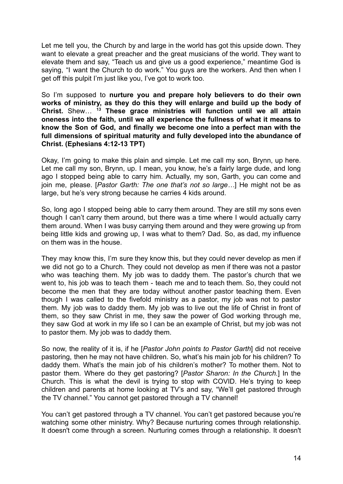Let me tell you, the Church by and large in the world has got this upside down. They want to elevate a great preacher and the great musicians of the world. They want to elevate them and say, "Teach us and give us a good experience," meantime God is saying, "I want the Church to do work." You guys are the workers. And then when I get off this pulpit I'm just like you, I've got to work too.

So I'm supposed to **nurture you and prepare holy believers to do their own works of ministry, as they do this they will enlarge and build up the body of Christ.** Shew… **<sup>13</sup> These grace ministries will function until we all attain oneness into the faith, until we all experience the fullness of what it means to know the Son of God, and finally we become one into a perfect man with the full dimensions of spiritual maturity and fully developed into the abundance of Christ. (Ephesians 4:12-13 TPT)**

Okay, I'm going to make this plain and simple. Let me call my son, Brynn, up here. Let me call my son, Brynn, up. I mean, you know, he's a fairly large dude, and long ago I stopped being able to carry him. Actually, my son, Garth, you can come and join me, please. [*Pastor Garth: The one that's not so large…*] He might not be as large, but he's very strong because he carries 4 kids around.

So, long ago I stopped being able to carry them around. They are still my sons even though I can't carry them around, but there was a time where I would actually carry them around. When I was busy carrying them around and they were growing up from being little kids and growing up, I was what to them? Dad. So, as dad, my influence on them was in the house.

They may know this, I'm sure they know this, but they could never develop as men if we did not go to a Church. They could not develop as men if there was not a pastor who was teaching them. My job was to daddy them. The pastor's church that we went to, his job was to teach them - teach me and to teach them. So, they could not become the men that they are today without another pastor teaching them. Even though I was called to the fivefold ministry as a pastor, my job was not to pastor them. My job was to daddy them. My job was to live out the life of Christ in front of them, so they saw Christ in me, they saw the power of God working through me, they saw God at work in my life so I can be an example of Christ, but my job was not to pastor them. My job was to daddy them.

So now, the reality of it is, if he [*Pastor John points to Pastor Garth*] did not receive pastoring, then he may not have children. So, what's his main job for his children? To daddy them. What's the main job of his children's mother? To mother them. Not to pastor them. Where do they get pastoring? [*Pastor Sharon: In the Church.*] In the Church. This is what the devil is trying to stop with COVID. He's trying to keep children and parents at home looking at TV's and say, "We'll get pastored through the TV channel." You cannot get pastored through a TV channel!

You can't get pastored through a TV channel. You can't get pastored because you're watching some other ministry. Why? Because nurturing comes through relationship. It doesn't come through a screen. Nurturing comes through a relationship. It doesn't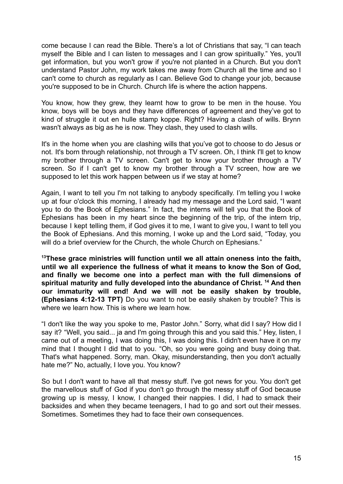come because I can read the Bible. There's a lot of Christians that say, "I can teach myself the Bible and I can listen to messages and I can grow spiritually." Yes, you'll get information, but you won't grow if you're not planted in a Church. But you don't understand Pastor John, my work takes me away from Church all the time and so I can't come to church as regularly as I can. Believe God to change your job, because you're supposed to be in Church. Church life is where the action happens.

You know, how they grew, they learnt how to grow to be men in the house. You know, boys will be boys and they have differences of agreement and they've got to kind of struggle it out en hulle stamp koppe. Right? Having a clash of wills. Brynn wasn't always as big as he is now. They clash, they used to clash wills.

It's in the home when you are clashing wills that you've got to choose to do Jesus or not. It's born through relationship, not through a TV screen. Oh, I think I'll get to know my brother through a TV screen. Can't get to know your brother through a TV screen. So if I can't get to know my brother through a TV screen, how are we supposed to let this work happen between us if we stay at home?

Again, I want to tell you I'm not talking to anybody specifically. I'm telling you I woke up at four o'clock this morning, I already had my message and the Lord said, "I want you to do the Book of Ephesians." In fact, the interns will tell you that the Book of Ephesians has been in my heart since the beginning of the trip, of the intern trip, because I kept telling them, if God gives it to me, I want to give you, I want to tell you the Book of Ephesians. And this morning, I woke up and the Lord said, "Today, you will do a brief overview for the Church, the whole Church on Ephesians."

**<sup>13</sup>These grace ministries will function until we all attain oneness into the faith, until we all experience the fullness of what it means to know the Son of God, and finally we become one into a perfect man with the full dimensions of spiritual maturity and fully developed into the abundance of Christ. <sup>14</sup> And then our immaturity will end! And we will not be easily shaken by trouble, (Ephesians 4:12-13 TPT)** Do you want to not be easily shaken by trouble? This is where we learn how. This is where we learn how.

"I don't like the way you spoke to me, Pastor John." Sorry, what did I say? How did I say it? "Well, you said... ja and I'm going through this and you said this." Hey, listen, I came out of a meeting, I was doing this, I was doing this. I didn't even have it on my mind that I thought I did that to you. "Oh, so you were going and busy doing that. That's what happened. Sorry, man. Okay, misunderstanding, then you don't actually hate me?" No, actually, I love you. You know?

So but I don't want to have all that messy stuff. I've got news for you. You don't get the marvellous stuff of God if you don't go through the messy stuff of God because growing up is messy, I know, I changed their nappies. I did, I had to smack their backsides and when they became teenagers, I had to go and sort out their messes. Sometimes. Sometimes they had to face their own consequences.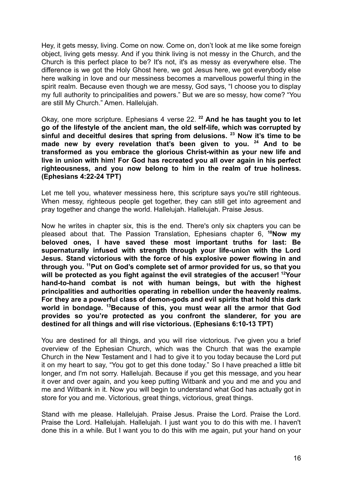Hey, it gets messy, living. Come on now. Come on, don't look at me like some foreign object, living gets messy. And if you think living is not messy in the Church, and the Church is this perfect place to be? It's not, it's as messy as everywhere else. The difference is we got the Holy Ghost here, we got Jesus here, we got everybody else here walking in love and our messiness becomes a marvellous powerful thing in the spirit realm. Because even though we are messy, God says, "I choose you to display my full authority to principalities and powers." But we are so messy, how come? "You are still My Church." Amen. Hallelujah.

Okay, one more scripture. Ephesians 4 verse 22. **<sup>22</sup> And he has taught you to let go of the lifestyle of the ancient man, the old self-life, which was corrupted by sinful and deceitful desires that spring from delusions. <sup>23</sup> Now it's time to be made new by every revelation that's been given to you. <sup>24</sup> And to be transformed as you embrace the glorious Christ-within as your new life and live in union with him! For God has recreated you all over again in his perfect righteousness, and you now belong to him in the realm of true holiness. (Ephesians 4:22-24 TPT)**

Let me tell you, whatever messiness here, this scripture says you're still righteous. When messy, righteous people get together, they can still get into agreement and pray together and change the world. Hallelujah. Hallelujah. Praise Jesus.

Now he writes in chapter six, this is the end. There's only six chapters you can be pleased about that. The Passion Translation, Ephesians chapter 6, **<sup>10</sup>Now my beloved ones, I have saved these most important truths for last: Be supernaturally infused with strength through your life-union with the Lord Jesus. Stand victorious with the force of his explosive power flowing in and through you. <sup>11</sup>Put on God's complete set of armor provided for us, so that you will be protected as you fight against the evil strategies of the accuser! <sup>12</sup>Your hand-to-hand combat is not with human beings, but with the highest principalities and authorities operating in rebellion under the heavenly realms. For they are a powerful class of demon-gods and evil spirits that hold this dark world in bondage. <sup>13</sup>Because of this, you must wear all the armor that God provides so you're protected as you confront the slanderer, for you are destined for all things and will rise victorious. (Ephesians 6:10-13 TPT)**

You are destined for all things, and you will rise victorious. I've given you a brief overview of the Ephesian Church, which was the Church that was the example Church in the New Testament and I had to give it to you today because the Lord put it on my heart to say, "You got to get this done today." So I have preached a little bit longer, and I'm not sorry. Hallelujah. Because if you get this message, and you hear it over and over again, and you keep putting Witbank and you and me and you and me and Witbank in it. Now you will begin to understand what God has actually got in store for you and me. Victorious, great things, victorious, great things.

Stand with me please. Hallelujah. Praise Jesus. Praise the Lord. Praise the Lord. Praise the Lord. Hallelujah. Hallelujah. I just want you to do this with me. I haven't done this in a while. But I want you to do this with me again, put your hand on your